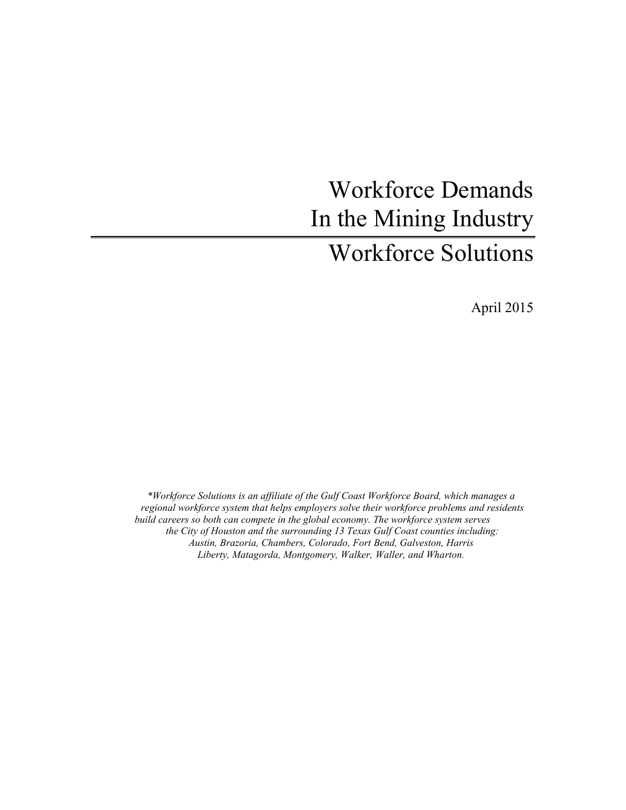# Workforce Demands In the Mining Industry Workforce Solutions

April 2015

*\*Workforce Solutions is an affiliate of the Gulf Coast Workforce Board, which manages a regional workforce system that helps employers solve their workforce problems and residents build careers so both can compete in the global economy. The workforce system serves the City of Houston and the surrounding 13 Texas Gulf Coast counties including: Austin, Brazoria, Chambers, Colorado, Fort Bend, Galveston, Harris Liberty, Matagorda, Montgomery, Walker, Waller, and Wharton.*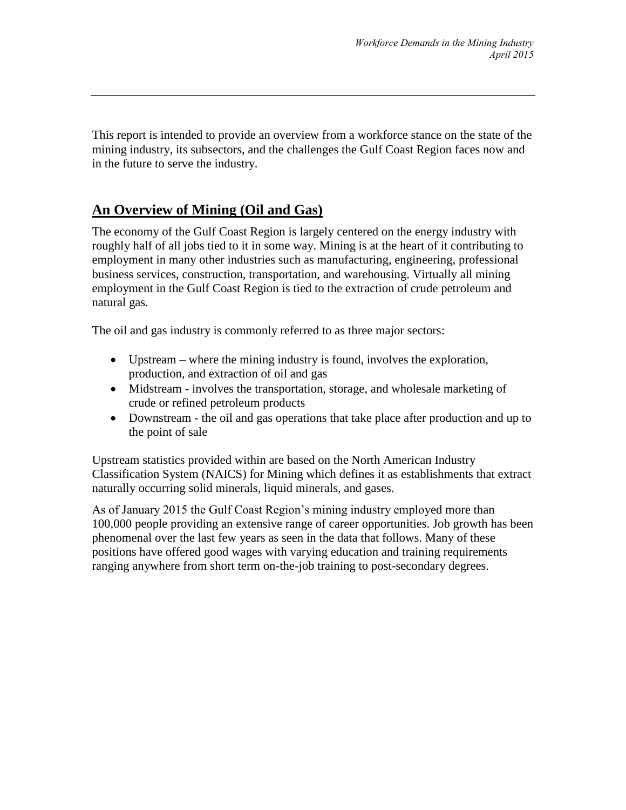This report is intended to provide an overview from a workforce stance on the state of the mining industry, its subsectors, and the challenges the Gulf Coast Region faces now and in the future to serve the industry.

# **An Overview of Mining (Oil and Gas)**

The economy of the Gulf Coast Region is largely centered on the energy industry with roughly half of all jobs tied to it in some way. Mining is at the heart of it contributing to employment in many other industries such as manufacturing, engineering, professional business services, construction, transportation, and warehousing. Virtually all mining employment in the Gulf Coast Region is tied to the extraction of crude petroleum and natural gas*.*

The oil and gas industry is commonly referred to as three major sectors:

- Upstream where the mining industry is found, involves the exploration, production, and extraction of oil and gas
- Midstream involves the transportation, storage, and wholesale marketing of crude or refined petroleum products
- Downstream the oil and gas operations that take place after production and up to the point of sale

Upstream statistics provided within are based on the North American Industry Classification System (NAICS) for Mining which defines it as establishments that extract naturally occurring solid minerals, liquid minerals, and gases.

As of January 2015 the Gulf Coast Region's mining industry employed more than 100,000 people providing an extensive range of career opportunities. Job growth has been phenomenal over the last few years as seen in the data that follows. Many of these positions have offered good wages with varying education and training requirements ranging anywhere from short term on-the-job training to post-secondary degrees.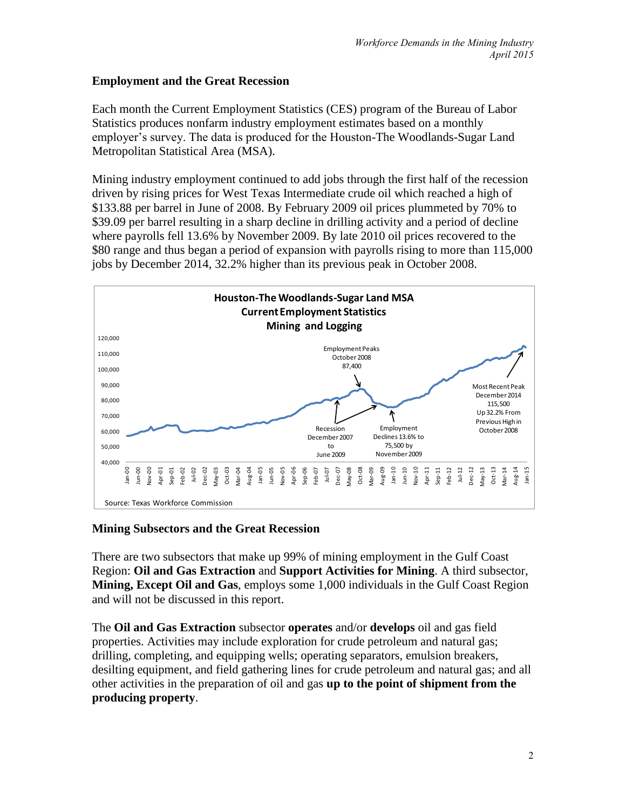## **Employment and the Great Recession**

Each month the Current Employment Statistics (CES) program of the Bureau of Labor Statistics produces nonfarm industry employment estimates based on a monthly employer's survey. The data is produced for the Houston-The Woodlands-Sugar Land Metropolitan Statistical Area (MSA).

Mining industry employment continued to add jobs through the first half of the recession driven by rising prices for West Texas Intermediate crude oil which reached a high of \$133.88 per barrel in June of 2008. By February 2009 oil prices plummeted by 70% to \$39.09 per barrel resulting in a sharp decline in drilling activity and a period of decline where payrolls fell 13.6% by November 2009. By late 2010 oil prices recovered to the \$80 range and thus began a period of expansion with payrolls rising to more than 115,000 jobs by December 2014, 32.2% higher than its previous peak in October 2008.



## **Mining Subsectors and the Great Recession**

There are two subsectors that make up 99% of mining employment in the Gulf Coast Region: **Oil and Gas Extraction** and **Support Activities for Mining**. A third subsector, **Mining, Except Oil and Gas**, employs some 1,000 individuals in the Gulf Coast Region and will not be discussed in this report.

The **Oil and Gas Extraction** subsector **operates** and/or **develops** oil and gas field properties. Activities may include exploration for crude petroleum and natural gas; drilling, completing, and equipping wells; operating separators, emulsion breakers, desilting equipment, and field gathering lines for crude petroleum and natural gas; and all other activities in the preparation of oil and gas **up to the point of shipment from the producing property**.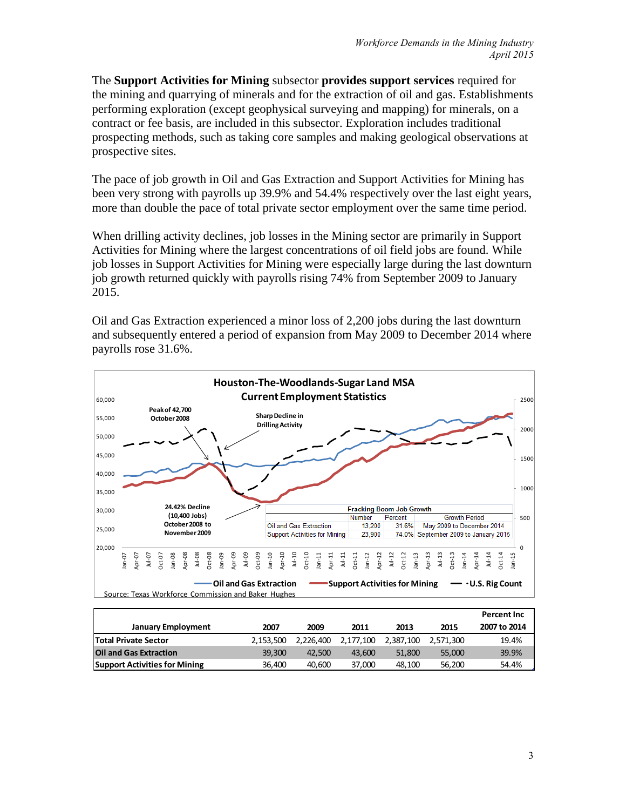The **Support Activities for Mining** subsector **provides support services** required for the mining and quarrying of minerals and for the extraction of oil and gas. Establishments performing exploration (except geophysical surveying and mapping) for minerals, on a contract or fee basis, are included in this subsector. Exploration includes traditional prospecting methods, such as taking core samples and making geological observations at prospective sites.

The pace of job growth in Oil and Gas Extraction and Support Activities for Mining has been very strong with payrolls up 39.9% and 54.4% respectively over the last eight years, more than double the pace of total private sector employment over the same time period.

When drilling activity declines, job losses in the Mining sector are primarily in Support Activities for Mining where the largest concentrations of oil field jobs are found. While job losses in Support Activities for Mining were especially large during the last downturn job growth returned quickly with payrolls rising 74% from September 2009 to January 2015.

Oil and Gas Extraction experienced a minor loss of 2,200 jobs during the last downturn and subsequently entered a period of expansion from May 2009 to December 2014 where payrolls rose 31.6%.



|                                      |           |           |           |           |           | <b>Percent Inc</b> |
|--------------------------------------|-----------|-----------|-----------|-----------|-----------|--------------------|
| <b>January Employment</b>            | 2007      | 2009      | 2011      | 2013      | 2015      | 2007 to 2014       |
| <b>Total Private Sector</b>          | 2.153.500 | 2.226.400 | 2,177,100 | 2.387.100 | 2.571.300 | 19.4%              |
| <b>Oil and Gas Extraction</b>        | 39.300    | 42.500    | 43.600    | 51.800    | 55,000    | 39.9%              |
| <b>Support Activities for Mining</b> | 36,400    | 40.600    | 37.000    | 48.100    | 56.200    | 54.4%              |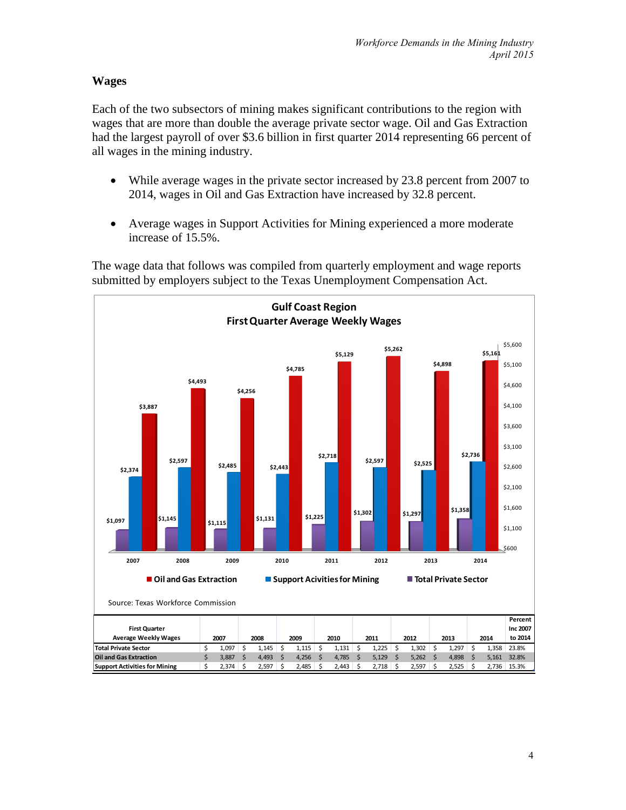## **Wages**

Each of the two subsectors of mining makes significant contributions to the region with wages that are more than double the average private sector wage. Oil and Gas Extraction had the largest payroll of over \$3.6 billion in first quarter 2014 representing 66 percent of all wages in the mining industry.

- While average wages in the private sector increased by 23.8 percent from 2007 to 2014, wages in Oil and Gas Extraction have increased by 32.8 percent.
- Average wages in Support Activities for Mining experienced a more moderate increase of 15.5%.



The wage data that follows was compiled from quarterly employment and wage reports submitted by employers subject to the Texas Unemployment Compensation Act.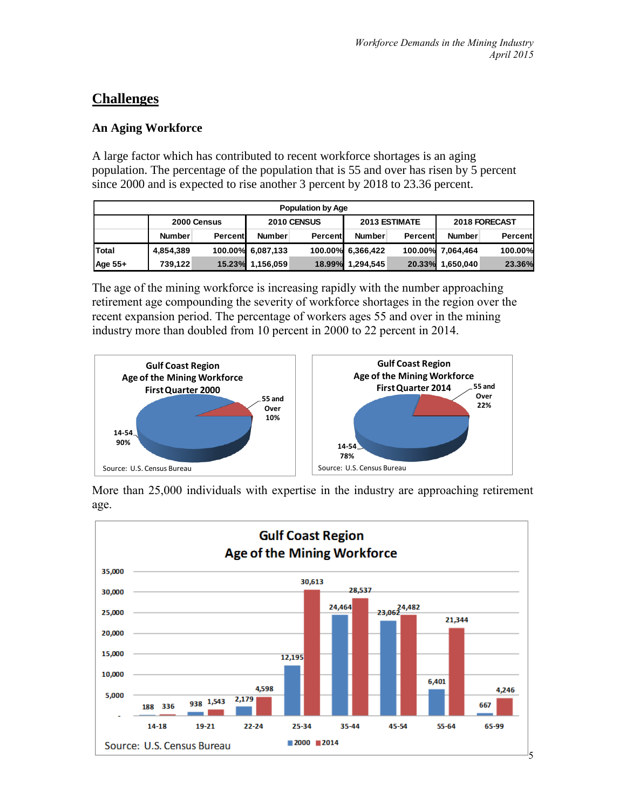## **Challenges**

## **An Aging Workforce**

A large factor which has contributed to recent workforce shortages is an aging population. The percentage of the population that is 55 and over has risen by 5 percent since 2000 and is expected to rise another 3 percent by 2018 to 23.36 percent.

| <b>Population by Age</b> |               |         |                   |         |                      |         |                   |         |
|--------------------------|---------------|---------|-------------------|---------|----------------------|---------|-------------------|---------|
|                          | 2000 Census   |         | 2010 CENSUS       |         | <b>2013 ESTIMATE</b> |         | 2018 FORECAST     |         |
|                          | <b>Number</b> | Percent | <b>Number</b>     | Percent | <b>Number</b>        | Percent | <b>Number</b>     | Percent |
| Total                    | 4,854,389     |         | 100.00% 6,087,133 |         | 100.00% 6,366,422    |         | 100.00% 7.064.464 | 100.00% |
| Age 55+                  | 739.122       |         | 15.23% 1,156,059  | 18.99%  | 1,294,545            | 20.33%  | 1,650,040         | 23.36%  |

The age of the mining workforce is increasing rapidly with the number approaching retirement age compounding the severity of workforce shortages in the region over the recent expansion period. The percentage of workers ages 55 and over in the mining industry more than doubled from 10 percent in 2000 to 22 percent in 2014.



More than 25,000 individuals with expertise in the industry are approaching retirement age.

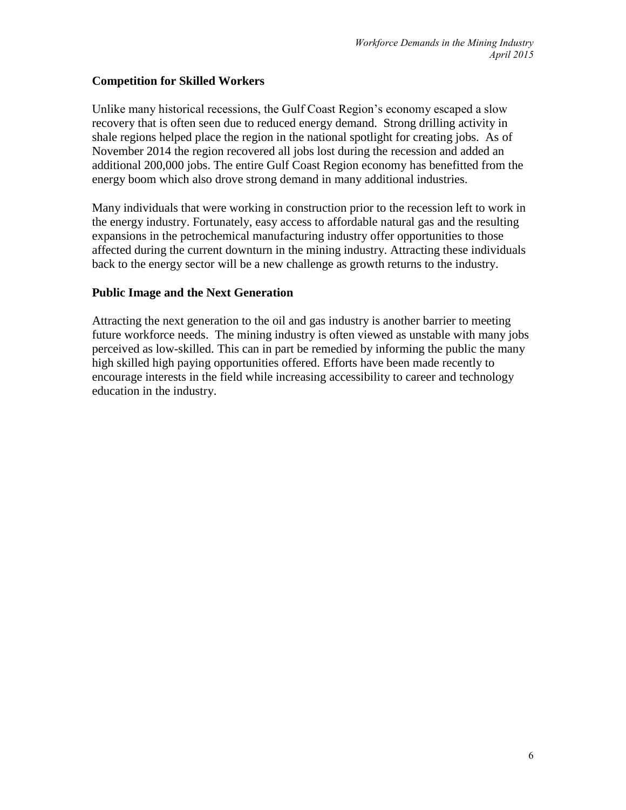## **Competition for Skilled Workers**

Unlike many historical recessions, the Gulf Coast Region's economy escaped a slow recovery that is often seen due to reduced energy demand. Strong drilling activity in shale regions helped place the region in the national spotlight for creating jobs. As of November 2014 the region recovered all jobs lost during the recession and added an additional 200,000 jobs. The entire Gulf Coast Region economy has benefitted from the energy boom which also drove strong demand in many additional industries.

Many individuals that were working in construction prior to the recession left to work in the energy industry. Fortunately, easy access to affordable natural gas and the resulting expansions in the petrochemical manufacturing industry offer opportunities to those affected during the current downturn in the mining industry. Attracting these individuals back to the energy sector will be a new challenge as growth returns to the industry.

## **Public Image and the Next Generation**

Attracting the next generation to the oil and gas industry is another barrier to meeting future workforce needs. The mining industry is often viewed as unstable with many jobs perceived as low-skilled. This can in part be remedied by informing the public the many high skilled high paying opportunities offered. Efforts have been made recently to encourage interests in the field while increasing accessibility to career and technology education in the industry.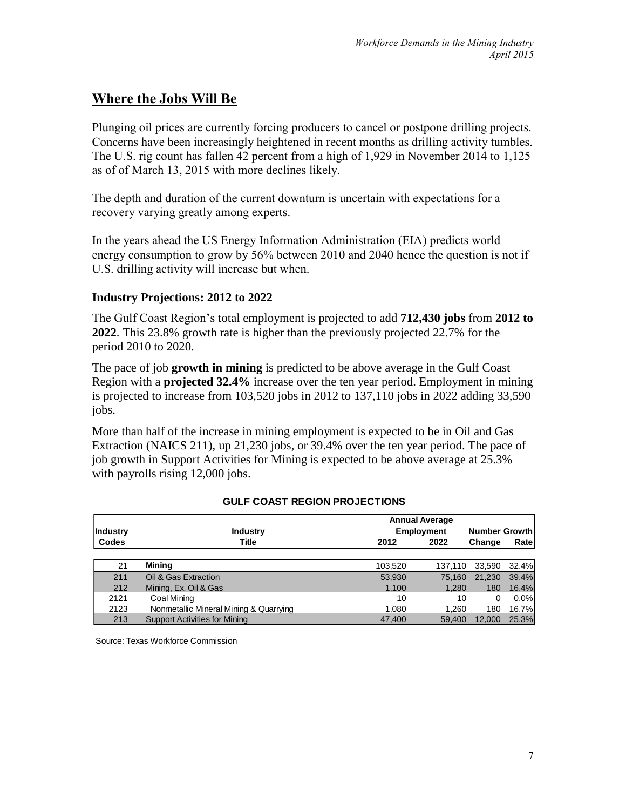# **Where the Jobs Will Be**

Plunging oil prices are currently forcing producers to cancel or postpone drilling projects. Concerns have been increasingly heightened in recent months as drilling activity tumbles. The U.S. rig count has fallen 42 percent from a high of 1,929 in November 2014 to 1,125 as of of March 13, 2015 with more declines likely.

The depth and duration of the current downturn is uncertain with expectations for a recovery varying greatly among experts.

In the years ahead the US Energy Information Administration (EIA) predicts world energy consumption to grow by 56% between 2010 and 2040 hence the question is not if U.S. drilling activity will increase but when.

## **Industry Projections: 2012 to 2022**

The Gulf Coast Region's total employment is projected to add **712,430 jobs** from **2012 to 2022**. This 23.8% growth rate is higher than the previously projected 22.7% for the period 2010 to 2020.

The pace of job **growth in mining** is predicted to be above average in the Gulf Coast Region with a **projected 32.4%** increase over the ten year period. Employment in mining is projected to increase from 103,520 jobs in 2012 to 137,110 jobs in 2022 adding 33,590 jobs.

More than half of the increase in mining employment is expected to be in Oil and Gas Extraction (NAICS 211), up 21,230 jobs, or 39.4% over the ten year period. The pace of job growth in Support Activities for Mining is expected to be above average at 25.3% with payrolls rising 12,000 jobs.

| <b>Annual Average</b> |                                        |         |                   |        |         |
|-----------------------|----------------------------------------|---------|-------------------|--------|---------|
| Industry              | <b>Industry</b>                        |         | <b>Employment</b> |        |         |
| Codes                 | Title                                  | 2012    | 2022              | Change | Rate    |
|                       |                                        |         |                   |        |         |
| 21                    | Mining                                 | 103,520 | 137.110           | 33.590 | 32.4%   |
| 211                   | Oil & Gas Extraction                   | 53,930  | 75.160            | 21.230 | 39.4%   |
| 212                   | Mining, Ex. Oil & Gas                  | 1,100   | 1,280             | 180    | 16.4%   |
| 2121                  | Coal Mining                            | 10      | 10                | 0      | $0.0\%$ |
| 2123                  | Nonmetallic Mineral Mining & Quarrying | 1,080   | 1.260             | 180    | 16.7%   |
| 213                   | <b>Support Activities for Mining</b>   | 47.400  | 59.400            | 12,000 | 25.3%   |

#### **GULF COAST REGION PROJECTIONS**

Source: Texas Workforce Commission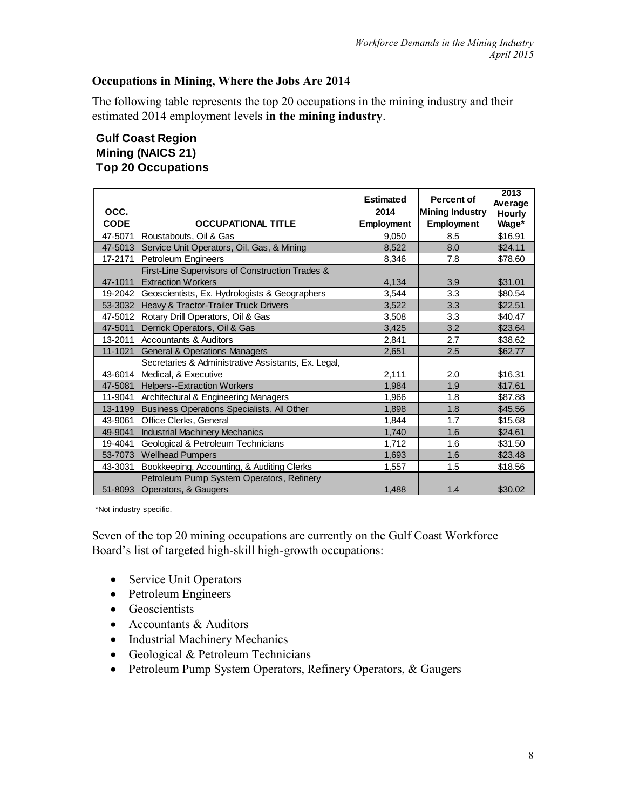## **Occupations in Mining, Where the Jobs Are 2014**

The following table represents the top 20 occupations in the mining industry and their estimated 2014 employment levels **in the mining industry**.

## **Gulf Coast Region Mining (NAICS 21) Top 20 Occupations**

|             |                                                       | <b>Estimated</b> | Percent of        | 2013<br>Average |
|-------------|-------------------------------------------------------|------------------|-------------------|-----------------|
| OCC.        |                                                       | 2014             | Mining Industry   | <b>Hourly</b>   |
| <b>CODE</b> | <b>OCCUPATIONAL TITLE</b>                             | Employment       | <b>Employment</b> | Wage*           |
| 47-5071     | Roustabouts, Oil & Gas                                | 9,050            | 8.5               | \$16.91         |
| 47-5013     | Service Unit Operators, Oil, Gas, & Mining            | 8,522            | 8.0               | \$24.11         |
| 17-2171     | Petroleum Engineers                                   | 8,346            | 7.8               | \$78.60         |
|             | First-Line Supervisors of Construction Trades &       |                  |                   |                 |
| 47-1011     | <b>Extraction Workers</b>                             | 4,134            | 3.9               | \$31.01         |
|             | 19-2042 Geoscientists, Ex. Hydrologists & Geographers | 3,544            | 3.3               | \$80.54         |
| 53-3032     | Heavy & Tractor-Trailer Truck Drivers                 | 3,522            | 3.3               | \$22.51         |
|             | 47-5012 Rotary Drill Operators, Oil & Gas             | 3,508            | 3.3               | \$40.47         |
| 47-5011     | Derrick Operators, Oil & Gas                          | 3.425            | 3.2               | \$23.64         |
| 13-2011     | Accountants & Auditors                                | 2,841            | 2.7               | \$38.62         |
| 11-1021     | <b>General &amp; Operations Managers</b>              | 2,651            | 2.5               | \$62.77         |
|             | Secretaries & Administrative Assistants, Ex. Legal,   |                  |                   |                 |
| 43-6014     | Medical, & Executive                                  | 2,111            | 2.0               | \$16.31         |
| 47-5081     | <b>Helpers--Extraction Workers</b>                    | 1.984            | 1.9               | \$17.61         |
| 11-9041     | Architectural & Engineering Managers                  | 1,966            | 1.8               | \$87.88         |
| 13-1199     | Business Operations Specialists, All Other            | 1,898            | 1.8               | \$45.56         |
| 43-9061     | Office Clerks, General                                | 1.844            | 1.7               | \$15.68         |
| 49-9041     | Industrial Machinery Mechanics                        | 1,740            | 1.6               | \$24.61         |
| 19-4041     | Geological & Petroleum Technicians                    | 1,712            | 1.6               | \$31.50         |
| 53-7073     | <b>Wellhead Pumpers</b>                               | 1,693            | 1.6               | \$23.48         |
| 43-3031     | Bookkeeping, Accounting, & Auditing Clerks            | 1,557            | 1.5               | \$18.56         |
|             | Petroleum Pump System Operators, Refinery             |                  |                   |                 |
| 51-8093     | Operators, & Gaugers                                  | 1,488            | 1.4               | \$30.02         |

\*Not industry specific.

Seven of the top 20 mining occupations are currently on the Gulf Coast Workforce Board's list of targeted high-skill high-growth occupations:

- Service Unit Operators
- Petroleum Engineers
- Geoscientists
- Accountants & Auditors
- Industrial Machinery Mechanics
- Geological & Petroleum Technicians
- Petroleum Pump System Operators, Refinery Operators, & Gaugers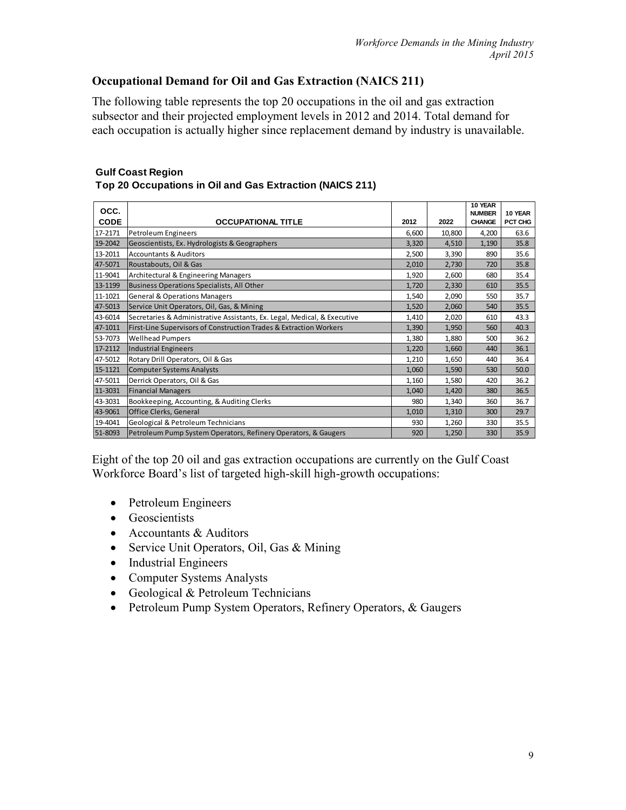## **Occupational Demand for Oil and Gas Extraction (NAICS 211)**

The following table represents the top 20 occupations in the oil and gas extraction subsector and their projected employment levels in 2012 and 2014. Total demand for each occupation is actually higher since replacement demand by industry is unavailable.

| <b>Gulf Coast Region</b>                                 |  |
|----------------------------------------------------------|--|
| Top 20 Occupations in Oil and Gas Extraction (NAICS 211) |  |

| OCC.        |                                                                          |       |        | 10 YEAR<br><b>NUMBER</b> | 10 YEAR |
|-------------|--------------------------------------------------------------------------|-------|--------|--------------------------|---------|
| <b>CODE</b> | <b>OCCUPATIONAL TITLE</b>                                                | 2012  | 2022   | <b>CHANGE</b>            | PCT CHG |
| 17-2171     | Petroleum Engineers                                                      | 6,600 | 10,800 | 4,200                    | 63.6    |
| 19-2042     | Geoscientists, Ex. Hydrologists & Geographers                            | 3,320 | 4,510  | 1,190                    | 35.8    |
| 13-2011     | <b>Accountants &amp; Auditors</b>                                        | 2,500 | 3,390  | 890                      | 35.6    |
| 47-5071     | Roustabouts, Oil & Gas                                                   | 2,010 | 2,730  | 720                      | 35.8    |
| 11-9041     | Architectural & Engineering Managers                                     | 1,920 | 2,600  | 680                      | 35.4    |
| 13-1199     | Business Operations Specialists, All Other                               | 1,720 | 2,330  | 610                      | 35.5    |
| 11-1021     | <b>General &amp; Operations Managers</b>                                 | 1,540 | 2,090  | 550                      | 35.7    |
| 47-5013     | Service Unit Operators, Oil, Gas, & Mining                               | 1,520 | 2,060  | 540                      | 35.5    |
| 43-6014     | Secretaries & Administrative Assistants, Ex. Legal, Medical, & Executive | 1,410 | 2,020  | 610                      | 43.3    |
| 47-1011     | First-Line Supervisors of Construction Trades & Extraction Workers       | 1,390 | 1,950  | 560                      | 40.3    |
| 53-7073     | <b>Wellhead Pumpers</b>                                                  | 1,380 | 1,880  | 500                      | 36.2    |
| 17-2112     | Industrial Engineers                                                     | 1,220 | 1,660  | 440                      | 36.1    |
| 47-5012     | Rotary Drill Operators, Oil & Gas                                        | 1,210 | 1,650  | 440                      | 36.4    |
| 15-1121     | <b>Computer Systems Analysts</b>                                         | 1,060 | 1,590  | 530                      | 50.0    |
| 47-5011     | Derrick Operators, Oil & Gas                                             | 1,160 | 1,580  | 420                      | 36.2    |
| 11-3031     | <b>Financial Managers</b>                                                | 1,040 | 1,420  | 380                      | 36.5    |
| 43-3031     | Bookkeeping, Accounting, & Auditing Clerks                               | 980   | 1,340  | 360                      | 36.7    |
| 43-9061     | <b>Office Clerks, General</b>                                            | 1,010 | 1,310  | 300                      | 29.7    |
| 19-4041     | Geological & Petroleum Technicians                                       | 930   | 1,260  | 330                      | 35.5    |
| 51-8093     | Petroleum Pump System Operators, Refinery Operators, & Gaugers           | 920   | 1,250  | 330                      | 35.9    |

Eight of the top 20 oil and gas extraction occupations are currently on the Gulf Coast Workforce Board's list of targeted high-skill high-growth occupations:

- Petroleum Engineers
- Geoscientists
- Accountants & Auditors
- Service Unit Operators, Oil, Gas & Mining
- Industrial Engineers
- Computer Systems Analysts
- Geological & Petroleum Technicians
- Petroleum Pump System Operators, Refinery Operators, & Gaugers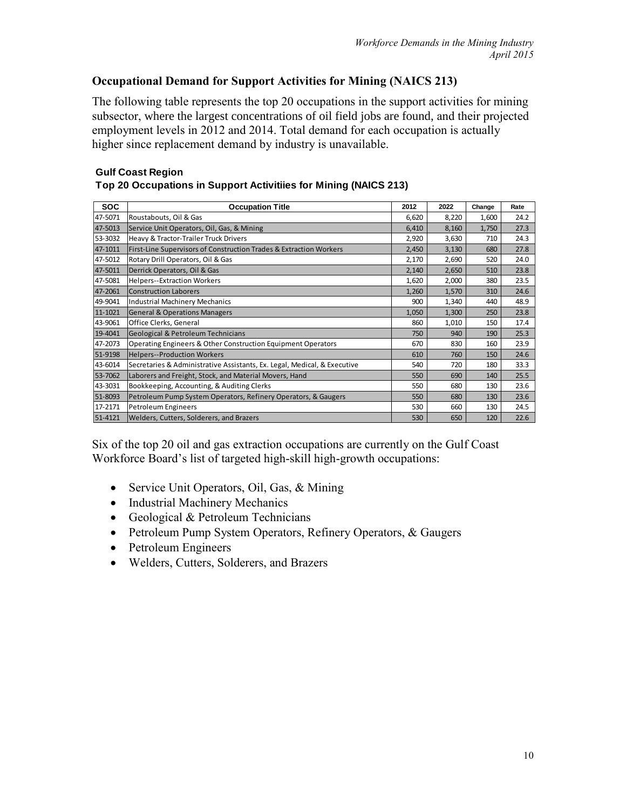## **Occupational Demand for Support Activities for Mining (NAICS 213)**

The following table represents the top 20 occupations in the support activities for mining subsector, where the largest concentrations of oil field jobs are found, and their projected employment levels in 2012 and 2014. Total demand for each occupation is actually higher since replacement demand by industry is unavailable.

## **Gulf Coast Region**

| Top 20 Occupations in Support Activitiies for Mining (NAICS 213) |  |  |
|------------------------------------------------------------------|--|--|
|                                                                  |  |  |
|                                                                  |  |  |

| <b>SOC</b> | <b>Occupation Title</b>                                                  | 2012  | 2022  | Change | Rate |
|------------|--------------------------------------------------------------------------|-------|-------|--------|------|
| 47-5071    | Roustabouts, Oil & Gas                                                   | 6,620 | 8,220 | 1,600  | 24.2 |
| 47-5013    | Service Unit Operators, Oil, Gas, & Mining                               | 6,410 | 8,160 | 1,750  | 27.3 |
| 53-3032    | Heavy & Tractor-Trailer Truck Drivers                                    | 2,920 | 3,630 | 710    | 24.3 |
| 47-1011    | First-Line Supervisors of Construction Trades & Extraction Workers       | 2,450 | 3,130 | 680    | 27.8 |
| 47-5012    | Rotary Drill Operators, Oil & Gas                                        | 2,170 | 2,690 | 520    | 24.0 |
| 47-5011    | Derrick Operators, Oil & Gas                                             | 2,140 | 2,650 | 510    | 23.8 |
| 47-5081    | <b>Helpers--Extraction Workers</b>                                       | 1,620 | 2,000 | 380    | 23.5 |
| 47-2061    | Construction Laborers                                                    | 1,260 | 1,570 | 310    | 24.6 |
| 49-9041    | Industrial Machinery Mechanics                                           | 900   | 1,340 | 440    | 48.9 |
| 11-1021    | <b>General &amp; Operations Managers</b>                                 | 1,050 | 1,300 | 250    | 23.8 |
| 43-9061    | Office Clerks, General                                                   | 860   | 1,010 | 150    | 17.4 |
| 19-4041    | Geological & Petroleum Technicians                                       | 750   | 940   | 190    | 25.3 |
| 47-2073    | Operating Engineers & Other Construction Equipment Operators             | 670   | 830   | 160    | 23.9 |
| 51-9198    | <b>Helpers--Production Workers</b>                                       | 610   | 760   | 150    | 24.6 |
| 43-6014    | Secretaries & Administrative Assistants, Ex. Legal, Medical, & Executive | 540   | 720   | 180    | 33.3 |
| 53-7062    | Laborers and Freight, Stock, and Material Movers, Hand                   | 550   | 690   | 140    | 25.5 |
| 43-3031    | Bookkeeping, Accounting, & Auditing Clerks                               | 550   | 680   | 130    | 23.6 |
| 51-8093    | Petroleum Pump System Operators, Refinery Operators, & Gaugers           | 550   | 680   | 130    | 23.6 |
| 17-2171    | Petroleum Engineers                                                      | 530   | 660   | 130    | 24.5 |
| 51-4121    | Welders, Cutters, Solderers, and Brazers                                 | 530   | 650   | 120    | 22.6 |

Six of the top 20 oil and gas extraction occupations are currently on the Gulf Coast Workforce Board's list of targeted high-skill high-growth occupations:

- Service Unit Operators, Oil, Gas, & Mining
- Industrial Machinery Mechanics
- Geological & Petroleum Technicians
- Petroleum Pump System Operators, Refinery Operators, & Gaugers
- Petroleum Engineers
- Welders, Cutters, Solderers, and Brazers